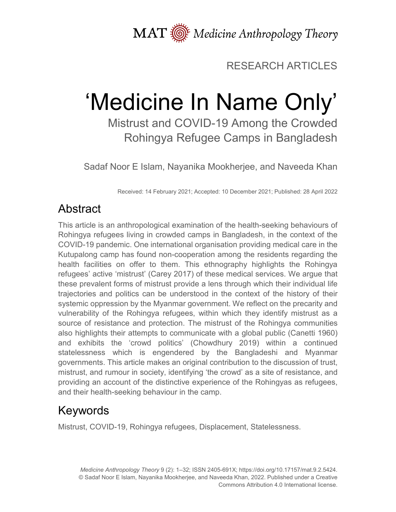MAT  $\overline{\text{M}}$  Medicine Anthropology Theory

## RESEARCH ARTICLES

# 'Medicine In Name Only'

Mistrust and COVID-19 Among the Crowded Rohingya Refugee Camps in Bangladesh

Sadaf Noor E Islam, Nayanika Mookherjee, and Naveeda Khan

Received: 14 February 2021; Accepted: 10 December 2021; Published: 28 April 2022

# Abstract

This article is an anthropological examination of the health-seeking behaviours of Rohingya refugees living in crowded camps in Bangladesh, in the context of the COVID-19 pandemic. One international organisation providing medical care in the Kutupalong camp has found non-cooperation among the residents regarding the health facilities on offer to them. This ethnography highlights the Rohingya refugees' active 'mistrust' (Carey 2017) of these medical services. We argue that these prevalent forms of mistrust provide a lens through which their individual life trajectories and politics can be understood in the context of the history of their systemic oppression by the Myanmar government. We reflect on the precarity and vulnerability of the Rohingya refugees, within which they identify mistrust as a source of resistance and protection. The mistrust of the Rohingya communities also highlights their attempts to communicate with a global public (Canetti 1960) and exhibits the 'crowd politics' (Chowdhury 2019) within a continued statelessness which is engendered by the Bangladeshi and Myanmar governments. This article makes an original contribution to the discussion of trust, mistrust, and rumour in society, identifying 'the crowd' as a site of resistance, and providing an account of the distinctive experience of the Rohingyas as refugees, and their health-seeking behaviour in the camp.

# Keywords

Mistrust, COVID-19, Rohingya refugees, Displacement, Statelessness.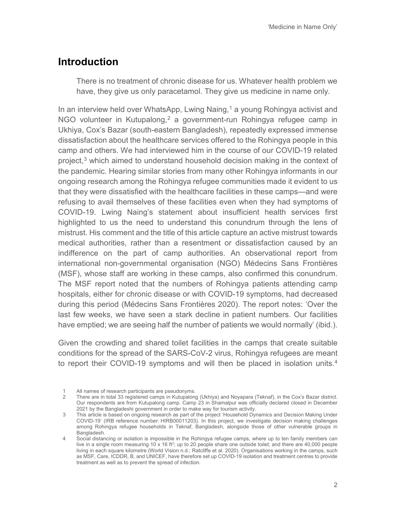#### **Introduction**

There is no treatment of chronic disease for us. Whatever health problem we have, they give us only paracetamol. They give us medicine in name only.

In an interview held over WhatsApp, Lwing Naing,<sup>[1](#page-1-0)</sup> a young Rohingya activist and NGO volunteer in Kutupalong,<sup>[2](#page-1-1)</sup> a government-run Rohingya refugee camp in Ukhiya, Cox's Bazar (south-eastern Bangladesh), repeatedly expressed immense dissatisfaction about the healthcare services offered to the Rohingya people in this camp and others. We had interviewed him in the course of our COVID-19 related project, [3](#page-1-2) which aimed to understand household decision making in the context of the pandemic. Hearing similar stories from many other Rohingya informants in our ongoing research among the Rohingya refugee communities made it evident to us that they were dissatisfied with the healthcare facilities in these camps—and were refusing to avail themselves of these facilities even when they had symptoms of COVID-19. Lwing Naing's statement about insufficient health services first highlighted to us the need to understand this conundrum through the lens of mistrust. His comment and the title of this article capture an active mistrust towards medical authorities, rather than a resentment or dissatisfaction caused by an indifference on the part of camp authorities. An observational report from international non-governmental organisation (NGO) Médecins Sans Frontières (MSF), whose staff are working in these camps, also confirmed this conundrum. The MSF report noted that the numbers of Rohingya patients attending camp hospitals, either for chronic disease or with COVID-19 symptoms, had decreased during this period (Médecins Sans Frontières 2020). The report notes: 'Over the last few weeks, we have seen a stark decline in patient numbers. Our facilities have emptied; we are seeing half the number of patients we would normally' (ibid.).

Given the crowding and shared toilet facilities in the camps that create suitable conditions for the spread of the SARS-CoV-2 virus, Rohingya refugees are meant to report their COVID-19 symptoms and will then be placed in isolation units.<sup>[4](#page-1-3)</sup>

<span id="page-1-0"></span>All names of research participants are pseudonyms.

<span id="page-1-1"></span><sup>2</sup> There are in total 33 registered camps in Kutupalong (Ukhiya) and Noyapara (Teknaf), in the Cox's Bazar district. Our respondents are from Kutupalong camp. Camp 23 in Shamalpur was officially declared closed in December 2021 by the Bangladeshi government in order to make way for tourism activity.

<span id="page-1-2"></span><sup>3</sup> This article is based on ongoing research as part of the project 'Household Dynamics and Decision Making Under COVID-19' (IRB reference number: HIRB00011203). In this project, we investigate decision making challenges among Rohingya refugee households in Teknaf, Bangladesh, alongside those of other vulnerable groups in Bangladesh.

<span id="page-1-3"></span><sup>4</sup> Social distancing or isolation is impossible in the Rohingya refugee camps, where up to ten family members can live in a single room measuring 10 x 16 ft<sup>2</sup>; up to 20 people share one outside toilet; and there are 40,000 people living in each square kilometre (World Vision n.d.; Ratcliffe et al. 2020). Organisations working in the camps, such as MSF, Care, ICDDR, B, and UNICEF, have therefore set up COVID-19 isolation and treatment centres to provide treatment as well as to prevent the spread of infection.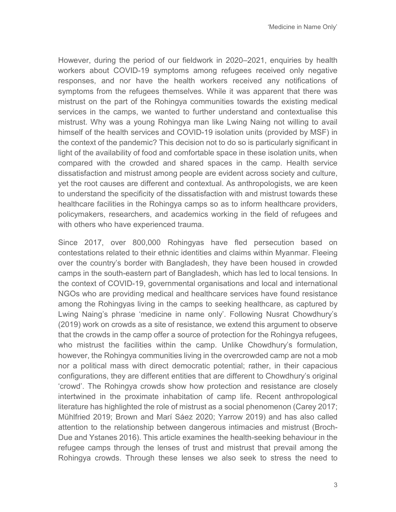However, during the period of our fieldwork in 2020–2021, enquiries by health workers about COVID-19 symptoms among refugees received only negative responses, and nor have the health workers received any notifications of symptoms from the refugees themselves. While it was apparent that there was mistrust on the part of the Rohingya communities towards the existing medical services in the camps, we wanted to further understand and contextualise this mistrust. Why was a young Rohingya man like Lwing Naing not willing to avail himself of the health services and COVID-19 isolation units (provided by MSF) in the context of the pandemic? This decision not to do so is particularly significant in light of the availability of food and comfortable space in these isolation units, when compared with the crowded and shared spaces in the camp. Health service dissatisfaction and mistrust among people are evident across society and culture, yet the root causes are different and contextual. As anthropologists, we are keen to understand the specificity of the dissatisfaction with and mistrust towards these healthcare facilities in the Rohingya camps so as to inform healthcare providers, policymakers, researchers, and academics working in the field of refugees and with others who have experienced trauma.

Since 2017, over 800,000 Rohingyas have fled persecution based on contestations related to their ethnic identities and claims within Myanmar. Fleeing over the country's border with Bangladesh, they have been housed in crowded camps in the south-eastern part of Bangladesh, which has led to local tensions. In the context of COVID-19, governmental organisations and local and international NGOs who are providing medical and healthcare services have found resistance among the Rohingyas living in the camps to seeking healthcare, as captured by Lwing Naing's phrase 'medicine in name only'. Following Nusrat Chowdhury's (2019) work on crowds as a site of resistance, we extend this argument to observe that the crowds in the camp offer a source of protection for the Rohingya refugees, who mistrust the facilities within the camp. Unlike Chowdhury's formulation, however, the Rohingya communities living in the overcrowded camp are not a mob nor a political mass with direct democratic potential; rather, in their capacious configurations, they are different entities that are different to Chowdhury's original 'crowd'. The Rohingya crowds show how protection and resistance are closely intertwined in the proximate inhabitation of camp life. Recent anthropological literature has highlighted the role of mistrust as a social phenomenon (Carey 2017; Mühlfried 2019; Brown and Marí Sáez 2020; Yarrow 2019) and has also called attention to the relationship between dangerous intimacies and mistrust (Broch-Due and Ystanes 2016). This article examines the health-seeking behaviour in the refugee camps through the lenses of trust and mistrust that prevail among the Rohingya crowds. Through these lenses we also seek to stress the need to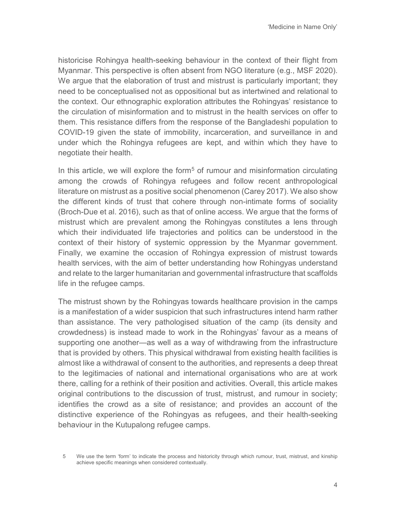historicise Rohingya health-seeking behaviour in the context of their flight from Myanmar. This perspective is often absent from NGO literature (e.g., MSF 2020). We argue that the elaboration of trust and mistrust is particularly important; they need to be conceptualised not as oppositional but as intertwined and relational to the context. Our ethnographic exploration attributes the Rohingyas' resistance to the circulation of misinformation and to mistrust in the health services on offer to them. This resistance differs from the response of the Bangladeshi population to COVID-19 given the state of immobility, incarceration, and surveillance in and under which the Rohingya refugees are kept, and within which they have to negotiate their health.

In this article, we will explore the form<sup>[5](#page-3-0)</sup> of rumour and misinformation circulating among the crowds of Rohingya refugees and follow recent anthropological literature on mistrust as a positive social phenomenon (Carey 2017). We also show the different kinds of trust that cohere through non-intimate forms of sociality (Broch-Due et al. 2016), such as that of online access. We argue that the forms of mistrust which are prevalent among the Rohingyas constitutes a lens through which their individuated life trajectories and politics can be understood in the context of their history of systemic oppression by the Myanmar government. Finally, we examine the occasion of Rohingya expression of mistrust towards health services, with the aim of better understanding how Rohingyas understand and relate to the larger humanitarian and governmental infrastructure that scaffolds life in the refugee camps.

The mistrust shown by the Rohingyas towards healthcare provision in the camps is a manifestation of a wider suspicion that such infrastructures intend harm rather than assistance. The very pathologised situation of the camp (its density and crowdedness) is instead made to work in the Rohingyas' favour as a means of supporting one another—as well as a way of withdrawing from the infrastructure that is provided by others. This physical withdrawal from existing health facilities is almost like a withdrawal of consent to the authorities, and represents a deep threat to the legitimacies of national and international organisations who are at work there, calling for a rethink of their position and activities. Overall, this article makes original contributions to the discussion of trust, mistrust, and rumour in society; identifies the crowd as a site of resistance; and provides an account of the distinctive experience of the Rohingyas as refugees, and their health-seeking behaviour in the Kutupalong refugee camps.

<span id="page-3-0"></span><sup>5</sup> We use the term 'form' to indicate the process and historicity through which rumour, trust, mistrust, and kinship achieve specific meanings when considered contextually.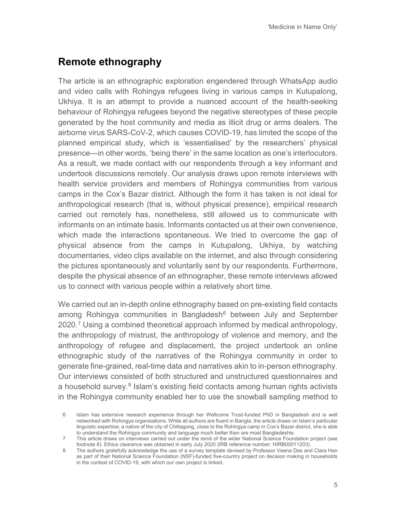## **Remote ethnography**

The article is an ethnographic exploration engendered through WhatsApp audio and video calls with Rohingya refugees living in various camps in Kutupalong, Ukhiya. It is an attempt to provide a nuanced account of the health-seeking behaviour of Rohingya refugees beyond the negative stereotypes of these people generated by the host community and media as illicit drug or arms dealers. The airborne virus SARS-CoV-2, which causes COVID-19, has limited the scope of the planned empirical study, which is 'essentialised' by the researchers' physical presence—in other words, 'being there' in the same location as one's interlocutors. As a result, we made contact with our respondents through a key informant and undertook discussions remotely. Our analysis draws upon remote interviews with health service providers and members of Rohingya communities from various camps in the Cox's Bazar district. Although the form it has taken is not ideal for anthropological research (that is, without physical presence), empirical research carried out remotely has, nonetheless, still allowed us to communicate with informants on an intimate basis. Informants contacted us at their own convenience, which made the interactions spontaneous. We tried to overcome the gap of physical absence from the camps in Kutupalong, Ukhiya, by watching documentaries, video clips available on the internet, and also through considering the pictures spontaneously and voluntarily sent by our respondents. Furthermore, despite the physical absence of an ethnographer, these remote interviews allowed us to connect with various people within a relatively short time.

We carried out an in-depth online ethnography based on pre-existing field contacts among Rohingya communities in Bangladesh<sup>[6](#page-4-0)</sup> between July and September 2020.[7](#page-4-1) Using a combined theoretical approach informed by medical anthropology, the anthropology of mistrust, the anthropology of violence and memory, and the anthropology of refugee and displacement, the project undertook an online ethnographic study of the narratives of the Rohingya community in order to generate fine-grained, real-time data and narratives akin to in-person ethnography. Our interviews consisted of both structured and unstructured questionnaires and a household survey. $8$  Islam's existing field contacts among human rights activists in the Rohingya community enabled her to use the snowball sampling method to

<span id="page-4-0"></span><sup>6</sup> Islam has extensive research experience through her Wellcome Trust-funded PhD in Bangladesh and is well networked with Rohingya organisations. While all authors are fluent in Bangla, the article draws on Islam's particular linguistic expertise; a native of the city of Chittagong, close to the Rohingya camp in Cox's Bazar district, she is able to understand the Rohingya community and language much better than are most Bangladeshis.

<span id="page-4-1"></span><sup>7</sup> This article draws on interviews carried out under the remit of the wider National Science Foundation project (see footnote 8). Ethics clearance was obtained in early July 2020 (IRB reference number: HIRB00011203).

<span id="page-4-2"></span><sup>8</sup> The authors gratefully acknowledge the use of a survey template devised by Professor Veena Das and Clara Han as part of their National Science Foundation (NSF)-funded five-country project on decision making in households in the context of COVID-19, with which our own project is linked.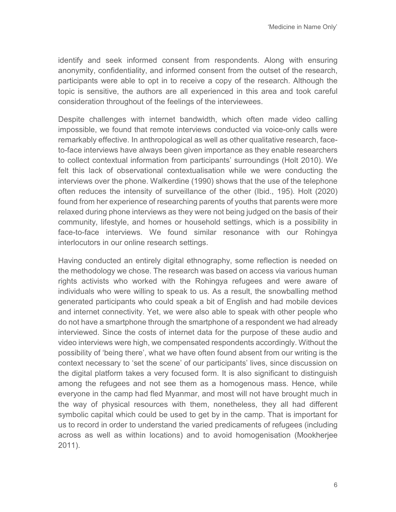identify and seek informed consent from respondents. Along with ensuring anonymity, confidentiality, and informed consent from the outset of the research, participants were able to opt in to receive a copy of the research. Although the topic is sensitive, the authors are all experienced in this area and took careful consideration throughout of the feelings of the interviewees.

Despite challenges with internet bandwidth, which often made video calling impossible, we found that remote interviews conducted via voice-only calls were remarkably effective. In anthropological as well as other qualitative research, faceto-face interviews have always been given importance as they enable researchers to collect contextual information from participants' surroundings (Holt 2010). We felt this lack of observational contextualisation while we were conducting the interviews over the phone. Walkerdine (1990) shows that the use of the telephone often reduces the intensity of surveillance of the other (Ibid., 195). Holt (2020) found from her experience of researching parents of youths that parents were more relaxed during phone interviews as they were not being judged on the basis of their community, lifestyle, and homes or household settings, which is a possibility in face-to-face interviews. We found similar resonance with our Rohingya interlocutors in our online research settings.

Having conducted an entirely digital ethnography, some reflection is needed on the methodology we chose. The research was based on access via various human rights activists who worked with the Rohingya refugees and were aware of individuals who were willing to speak to us. As a result, the snowballing method generated participants who could speak a bit of English and had mobile devices and internet connectivity. Yet, we were also able to speak with other people who do not have a smartphone through the smartphone of a respondent we had already interviewed. Since the costs of internet data for the purpose of these audio and video interviews were high, we compensated respondents accordingly. Without the possibility of 'being there', what we have often found absent from our writing is the context necessary to 'set the scene' of our participants' lives, since discussion on the digital platform takes a very focused form. It is also significant to distinguish among the refugees and not see them as a homogenous mass. Hence, while everyone in the camp had fled Myanmar, and most will not have brought much in the way of physical resources with them, nonetheless, they all had different symbolic capital which could be used to get by in the camp. That is important for us to record in order to understand the varied predicaments of refugees (including across as well as within locations) and to avoid homogenisation (Mookherjee 2011).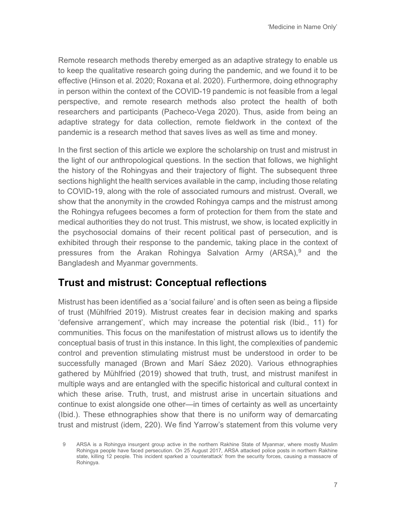Remote research methods thereby emerged as an adaptive strategy to enable us to keep the qualitative research going during the pandemic, and we found it to be effective (Hinson et al. 2020; Roxana et al. 2020). Furthermore, doing ethnography in person within the context of the COVID-19 pandemic is not feasible from a legal perspective, and remote research methods also protect the health of both researchers and participants (Pacheco-Vega 2020). Thus, aside from being an adaptive strategy for data collection, remote fieldwork in the context of the pandemic is a research method that saves lives as well as time and money.

In the first section of this article we explore the scholarship on trust and mistrust in the light of our anthropological questions. In the section that follows, we highlight the history of the Rohingyas and their trajectory of flight. The subsequent three sections highlight the health services available in the camp, including those relating to COVID-19, along with the role of associated rumours and mistrust. Overall, we show that the anonymity in the crowded Rohingya camps and the mistrust among the Rohingya refugees becomes a form of protection for them from the state and medical authorities they do not trust. This mistrust, we show, is located explicitly in the psychosocial domains of their recent political past of persecution, and is exhibited through their response to the pandemic, taking place in the context of pressures from the Arakan Rohingya Salvation Army (ARSA), [9](#page-6-0) and the Bangladesh and Myanmar governments.

#### **Trust and mistrust: Conceptual reflections**

Mistrust has been identified as a 'social failure' and is often seen as being a flipside of trust (Mühlfried 2019). Mistrust creates fear in decision making and sparks 'defensive arrangement', which may increase the potential risk (Ibid., 11) for communities. This focus on the manifestation of mistrust allows us to identify the conceptual basis of trust in this instance. In this light, the complexities of pandemic control and prevention stimulating mistrust must be understood in order to be successfully managed (Brown and Marí Sáez 2020). Various ethnographies gathered by Mühlfried (2019) showed that truth, trust, and mistrust manifest in multiple ways and are entangled with the specific historical and cultural context in which these arise*.* Truth, trust, and mistrust arise in uncertain situations and continue to exist alongside one other—in times of certainty as well as uncertainty (Ibid.). These ethnographies show that there is no uniform way of demarcating trust and mistrust (idem, 220). We find Yarrow's statement from this volume very

<span id="page-6-0"></span><sup>9</sup> ARSA is a Rohingya insurgent group active in the northern Rakhine State of Myanmar, where mostly Muslim Rohingya people have faced persecution. On 25 August 2017, ARSA attacked police posts in northern Rakhine state, killing 12 people. This incident sparked a 'counterattack' from the security forces, causing a massacre of Rohingya.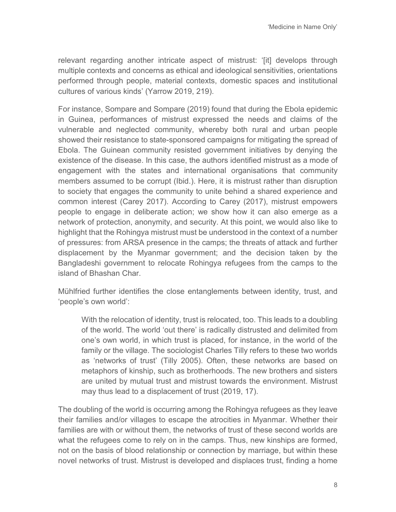relevant regarding another intricate aspect of mistrust: '[it] develops through multiple contexts and concerns as ethical and ideological sensitivities, orientations performed through people, material contexts, domestic spaces and institutional cultures of various kinds' (Yarrow 2019, 219).

For instance, Sompare and Sompare (2019) found that during the Ebola epidemic in Guinea, performances of mistrust expressed the needs and claims of the vulnerable and neglected community, whereby both rural and urban people showed their resistance to state-sponsored campaigns for mitigating the spread of Ebola. The Guinean community resisted government initiatives by denying the existence of the disease. In this case, the authors identified mistrust as a mode of engagement with the states and international organisations that community members assumed to be corrupt (Ibid.). Here, it is mistrust rather than disruption to society that engages the community to unite behind a shared experience and common interest (Carey 2017). According to Carey (2017), mistrust empowers people to engage in deliberate action; we show how it can also emerge as a network of protection, anonymity, and security. At this point, we would also like to highlight that the Rohingya mistrust must be understood in the context of a number of pressures: from ARSA presence in the camps; the threats of attack and further displacement by the Myanmar government; and the decision taken by the Bangladeshi government to relocate Rohingya refugees from the camps to the island of Bhashan Char.

Mühlfried further identifies the close entanglements between identity, trust, and 'people's own world':

With the relocation of identity, trust is relocated, too. This leads to a doubling of the world. The world 'out there' is radically distrusted and delimited from one's own world, in which trust is placed, for instance, in the world of the family or the village. The sociologist Charles Tilly refers to these two worlds as 'networks of trust' (Tilly 2005). Often, these networks are based on metaphors of kinship, such as brotherhoods. The new brothers and sisters are united by mutual trust and mistrust towards the environment. Mistrust may thus lead to a displacement of trust (2019, 17).

The doubling of the world is occurring among the Rohingya refugees as they leave their families and/or villages to escape the atrocities in Myanmar. Whether their families are with or without them, the networks of trust of these second worlds are what the refugees come to rely on in the camps. Thus, new kinships are formed, not on the basis of blood relationship or connection by marriage, but within these novel networks of trust. Mistrust is developed and displaces trust, finding a home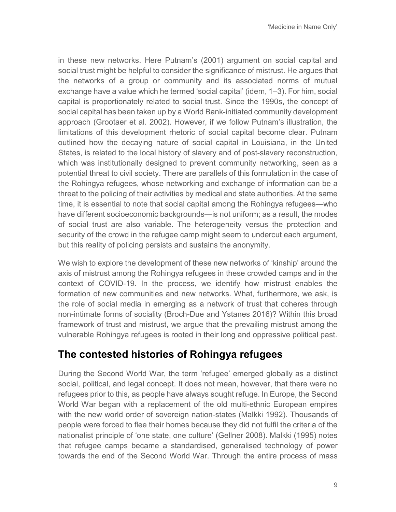in these new networks. Here Putnam's (2001) argument on social capital and social trust might be helpful to consider the significance of mistrust. He argues that the networks of a group or community and its associated norms of mutual exchange have a value which he termed 'social capital' (idem, 1–3). For him, social capital is proportionately related to social trust. Since the 1990s, the concept of social capital has been taken up by a World Bank-initiated community development approach (Grootaer et al. 2002). However, if we follow Putnam's illustration, the limitations of this development rhetoric of social capital become clear. Putnam outlined how the decaying nature of social capital in Louisiana, in the United States, is related to the local history of slavery and of post-slavery reconstruction, which was institutionally designed to prevent community networking, seen as a potential threat to civil society. There are parallels of this formulation in the case of the Rohingya refugees, whose networking and exchange of information can be a threat to the policing of their activities by medical and state authorities. At the same time, it is essential to note that social capital among the Rohingya refugees—who have different socioeconomic backgrounds—is not uniform; as a result, the modes of social trust are also variable. The heterogeneity versus the protection and security of the crowd in the refugee camp might seem to undercut each argument, but this reality of policing persists and sustains the anonymity.

We wish to explore the development of these new networks of 'kinship' around the axis of mistrust among the Rohingya refugees in these crowded camps and in the context of COVID-19. In the process, we identify how mistrust enables the formation of new communities and new networks. What, furthermore, we ask, is the role of social media in emerging as a network of trust that coheres through non-intimate forms of sociality (Broch-Due and Ystanes 2016)? Within this broad framework of trust and mistrust, we argue that the prevailing mistrust among the vulnerable Rohingya refugees is rooted in their long and oppressive political past.

## **The contested histories of Rohingya refugees**

During the Second World War, the term 'refugee' emerged globally as a distinct social, political, and legal concept. It does not mean, however, that there were no refugees prior to this, as people have always sought refuge. In Europe, the Second World War began with a replacement of the old multi-ethnic European empires with the new world order of sovereign nation-states (Malkki 1992). Thousands of people were forced to flee their homes because they did not fulfil the criteria of the nationalist principle of 'one state, one culture' (Gellner 2008). Malkki (1995) notes that refugee camps became a standardised, generalised technology of power towards the end of the Second World War. Through the entire process of mass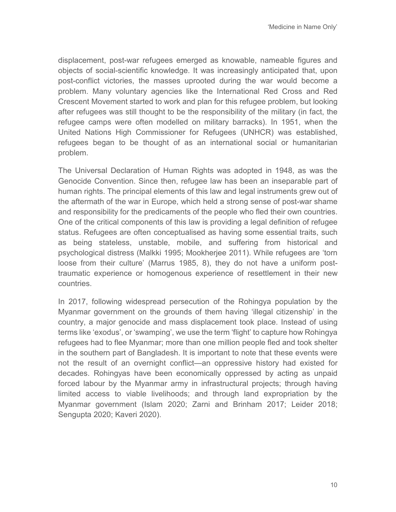displacement, post-war refugees emerged as knowable, nameable figures and objects of social-scientific knowledge. It was increasingly anticipated that, upon post-conflict victories, the masses uprooted during the war would become a problem. Many voluntary agencies like the International Red Cross and Red Crescent Movement started to work and plan for this refugee problem, but looking after refugees was still thought to be the responsibility of the military (in fact, the refugee camps were often modelled on military barracks). In 1951, when the United Nations High Commissioner for Refugees (UNHCR) was established, refugees began to be thought of as an international social or humanitarian problem.

The Universal Declaration of Human Rights was adopted in 1948, as was the Genocide Convention. Since then, refugee law has been an inseparable part of human rights. The principal elements of this law and legal instruments grew out of the aftermath of the war in Europe, which held a strong sense of post-war shame and responsibility for the predicaments of the people who fled their own countries. One of the critical components of this law is providing a legal definition of refugee status. Refugees are often conceptualised as having some essential traits, such as being stateless, unstable, mobile, and suffering from historical and psychological distress (Malkki 1995; Mookherjee 2011). While refugees are 'torn loose from their culture' (Marrus 1985, 8), they do not have a uniform posttraumatic experience or homogenous experience of resettlement in their new countries.

In 2017, following widespread persecution of the Rohingya population by the Myanmar government on the grounds of them having 'illegal citizenship' in the country, a major genocide and mass displacement took place. Instead of using terms like 'exodus', or 'swamping', we use the term 'flight' to capture how Rohingya refugees had to flee Myanmar; more than one million people fled and took shelter in the southern part of Bangladesh. It is important to note that these events were not the result of an overnight conflict—an oppressive history had existed for decades. Rohingyas have been economically oppressed by acting as unpaid forced labour by the Myanmar army in infrastructural projects; through having limited access to viable livelihoods; and through land expropriation by the Myanmar government (Islam 2020; Zarni and Brinham 2017; Leider 2018; Sengupta 2020; Kaveri 2020).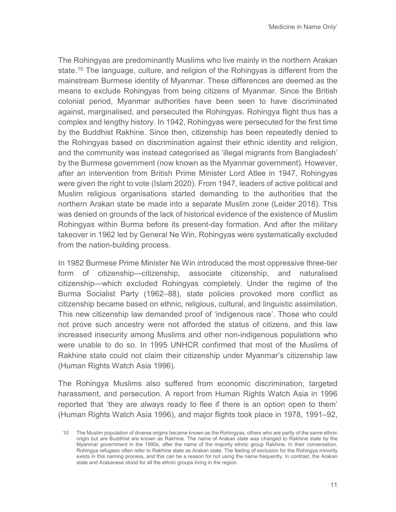The Rohingyas are predominantly Muslims who live mainly in the northern Arakan state.<sup>[10](#page-10-0)</sup> The language, culture, and religion of the Rohingyas is different from the mainstream Burmese identity of Myanmar. These differences are deemed as the means to exclude Rohingyas from being citizens of Myanmar. Since the British colonial period, Myanmar authorities have been seen to have discriminated against, marginalised, and persecuted the Rohingyas. Rohingya flight thus has a complex and lengthy history. In 1942, Rohingyas were persecuted for the first time by the Buddhist Rakhine. Since then, citizenship has been repeatedly denied to the Rohingyas based on discrimination against their ethnic identity and religion, and the community was instead categorised as 'illegal migrants from Bangladesh' by the Burmese government (now known as the Myanmar government). However, after an intervention from British Prime Minister Lord Atlee in 1947, Rohingyas were given the right to vote (Islam 2020). From 1947, leaders of active political and Muslim religious organisations started demanding to the authorities that the northern Arakan state be made into a separate Muslim zone (Leider 2018). This was denied on grounds of the lack of historical evidence of the existence of Muslim Rohingyas within Burma before its present-day formation. And after the military takeover in 1962 led by General Ne Win, Rohingyas were systematically excluded from the nation-building process.

In 1982 Burmese Prime Minister Ne Win introduced the most oppressive three-tier form of citizenship—citizenship, associate citizenship, and naturalised citizenship—which excluded Rohingyas completely. Under the regime of the Burma Socialist Party (1962–88), state policies provoked more conflict as citizenship became based on ethnic, religious, cultural, and linguistic assimilation. This new citizenship law demanded proof of 'indigenous race'. Those who could not prove such ancestry were not afforded the status of citizens, and this law increased insecurity among Muslims and other non-indigenous populations who were unable to do so. In 1995 UNHCR confirmed that most of the Muslims of Rakhine state could not claim their citizenship under Myanmar's citizenship law (Human Rights Watch Asia 1996).

The Rohingya Muslims also suffered from economic discrimination, targeted harassment, and persecution. A report from Human Rights Watch Asia in 1996 reported that 'they are always ready to flee if there is an option open to them' (Human Rights Watch Asia 1996), and major flights took place in 1978, 1991–92,

<span id="page-10-0"></span><sup>10</sup> The Muslim population of diverse origins became known as the Rohingyas; others who are partly of the same ethnic origin but are Buddhist are known as Rakhine. The name of Arakan state was changed to Rakhine state by the Myanmar government in the 1990s, after the name of the majority ethnic group Rakhine. In their conversation, Rohingya refugees often refer to Rakhine state as Arakan state. The feeling of exclusion for the Rohingya minority exists in this naming process, and this can be a reason for not using the name frequently. In contrast, the Arakan state and Arakanese stood for all the ethnic groups living in the region.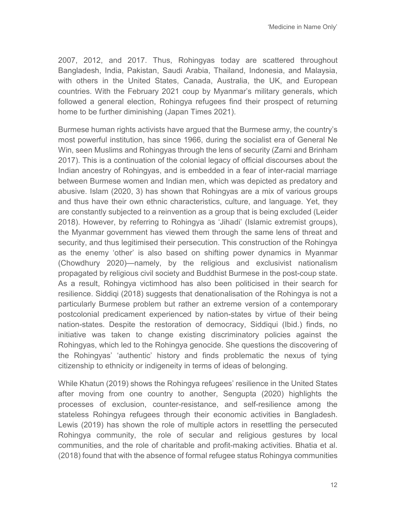2007, 2012, and 2017. Thus, Rohingyas today are scattered throughout Bangladesh, India, Pakistan, Saudi Arabia, Thailand, Indonesia, and Malaysia, with others in the United States, Canada, Australia, the UK, and European countries. With the February 2021 coup by Myanmar's military generals, which followed a general election, Rohingya refugees find their prospect of returning home to be further diminishing (Japan Times 2021).

Burmese human rights activists have argued that the Burmese army, the country's most powerful institution, has since 1966, during the socialist era of General Ne Win, seen Muslims and Rohingyas through the lens of security (Zarni and Brinham 2017). This is a continuation of the colonial legacy of official discourses about the Indian ancestry of Rohingyas, and is embedded in a fear of inter-racial marriage between Burmese women and Indian men, which was depicted as predatory and abusive. Islam (2020, 3) has shown that Rohingyas are a mix of various groups and thus have their own ethnic characteristics, culture, and language. Yet, they are constantly subjected to a reinvention as a group that is being excluded (Leider 2018). However, by referring to Rohingya as 'Jihadi' (Islamic extremist groups), the Myanmar government has viewed them through the same lens of threat and security, and thus legitimised their persecution. This construction of the Rohingya as the enemy 'other' is also based on shifting power dynamics in Myanmar (Chowdhury 2020)—namely, by the religious and exclusivist nationalism propagated by religious civil society and Buddhist Burmese in the post-coup state. As a result, Rohingya victimhood has also been politicised in their search for resilience. Siddiqi (2018) suggests that denationalisation of the Rohingya is not a particularly Burmese problem but rather an extreme version of a contemporary postcolonial predicament experienced by nation-states by virtue of their being nation-states. Despite the restoration of democracy, Siddiqui (Ibid.) finds, no initiative was taken to change existing discriminatory policies against the Rohingyas, which led to the Rohingya genocide. She questions the discovering of the Rohingyas' 'authentic' history and finds problematic the nexus of tying citizenship to ethnicity or indigeneity in terms of ideas of belonging.

While Khatun (2019) shows the Rohingya refugees' resilience in the United States after moving from one country to another, Sengupta (2020) highlights the processes of exclusion, counter-resistance, and self-resilience among the stateless Rohingya refugees through their economic activities in Bangladesh. Lewis (2019) has shown the role of multiple actors in resettling the persecuted Rohingya community, the role of secular and religious gestures by local communities, and the role of charitable and profit-making activities. Bhatia et al. (2018) found that with the absence of formal refugee status Rohingya communities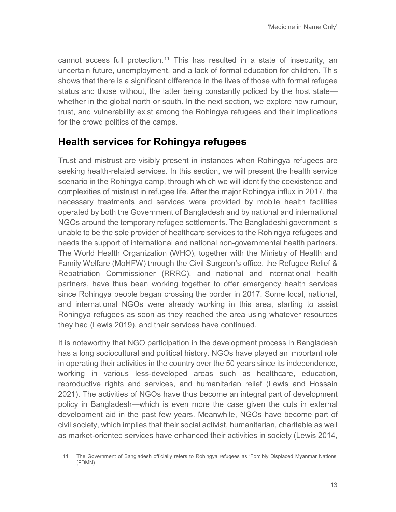cannot access full protection.<sup>[11](#page-12-0)</sup> This has resulted in a state of insecurity, an uncertain future, unemployment, and a lack of formal education for children. This shows that there is a significant difference in the lives of those with formal refugee status and those without, the latter being constantly policed by the host state whether in the global north or south. In the next section, we explore how rumour, trust, and vulnerability exist among the Rohingya refugees and their implications for the crowd politics of the camps.

#### **Health services for Rohingya refugees**

Trust and mistrust are visibly present in instances when Rohingya refugees are seeking health-related services. In this section, we will present the health service scenario in the Rohingya camp, through which we will identify the coexistence and complexities of mistrust in refugee life. After the major Rohingya influx in 2017, the necessary treatments and services were provided by mobile health facilities operated by both the Government of Bangladesh and by national and international NGOs around the temporary refugee settlements. The Bangladeshi government is unable to be the sole provider of healthcare services to the Rohingya refugees and needs the support of international and national non-governmental health partners. The World Health Organization (WHO), together with the Ministry of Health and Family Welfare (MoHFW) through the Civil Surgeon's office, the Refugee Relief & Repatriation Commissioner (RRRC), and national and international health partners, have thus been working together to offer emergency health services since Rohingya people began crossing the border in 2017. Some local, national, and international NGOs were already working in this area, starting to assist Rohingya refugees as soon as they reached the area using whatever resources they had (Lewis 2019), and their services have continued.

It is noteworthy that NGO participation in the development process in Bangladesh has a long sociocultural and political history. NGOs have played an important role in operating their activities in the country over the 50 years since its independence, working in various less-developed areas such as healthcare, education, reproductive rights and services, and humanitarian relief (Lewis and Hossain 2021). The activities of NGOs have thus become an integral part of development policy in Bangladesh—which is even more the case given the cuts in external development aid in the past few years. Meanwhile, NGOs have become part of civil society, which implies that their social activist, humanitarian, charitable as well as market-oriented services have enhanced their activities in society (Lewis 2014,

<span id="page-12-0"></span><sup>11</sup> The Government of Bangladesh officially refers to Rohingya refugees as 'Forcibly Displaced Myanmar Nations' (FDMN).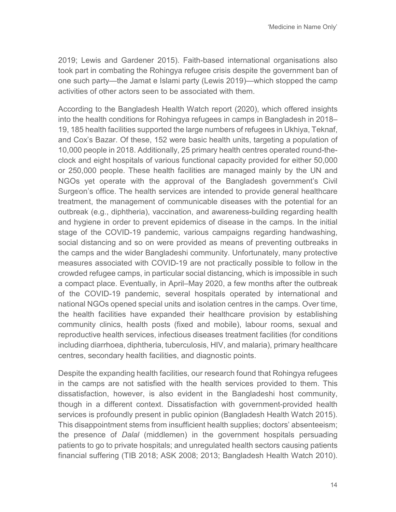2019; Lewis and Gardener 2015). Faith-based international organisations also took part in combating the Rohingya refugee crisis despite the government ban of one such party—the Jamat e Islami party (Lewis 2019)—which stopped the camp activities of other actors seen to be associated with them.

According to the Bangladesh Health Watch report (2020), which offered insights into the health conditions for Rohingya refugees in camps in Bangladesh in 2018– 19, 185 health facilities supported the large numbers of refugees in Ukhiya, Teknaf, and Cox's Bazar. Of these, 152 were basic health units, targeting a population of 10,000 people in 2018. Additionally, 25 primary health centres operated round-theclock and eight hospitals of various functional capacity provided for either 50,000 or 250,000 people. These health facilities are managed mainly by the UN and NGOs yet operate with the approval of the Bangladesh government's Civil Surgeon's office. The health services are intended to provide general healthcare treatment, the management of communicable diseases with the potential for an outbreak (e.g., diphtheria), vaccination, and awareness-building regarding health and hygiene in order to prevent epidemics of disease in the camps. In the initial stage of the COVID-19 pandemic, various campaigns regarding handwashing, social distancing and so on were provided as means of preventing outbreaks in the camps and the wider Bangladeshi community. Unfortunately, many protective measures associated with COVID-19 are not practically possible to follow in the crowded refugee camps, in particular social distancing, which is impossible in such a compact place. Eventually, in April–May 2020, a few months after the outbreak of the COVID-19 pandemic, several hospitals operated by international and national NGOs opened special units and isolation centres in the camps. Over time, the health facilities have expanded their healthcare provision by establishing community clinics, health posts (fixed and mobile), labour rooms, sexual and reproductive health services, infectious diseases treatment facilities (for conditions including diarrhoea, diphtheria, tuberculosis, HIV, and malaria), primary healthcare centres, secondary health facilities, and diagnostic points.

Despite the expanding health facilities, our research found that Rohingya refugees in the camps are not satisfied with the health services provided to them. This dissatisfaction, however, is also evident in the Bangladeshi host community, though in a different context. Dissatisfaction with government-provided health services is profoundly present in public opinion (Bangladesh Health Watch 2015). This disappointment stems from insufficient health supplies; doctors' absenteeism; the presence of *Dalal* (middlemen) in the government hospitals persuading patients to go to private hospitals; and unregulated health sectors causing patients financial suffering (TIB 2018; ASK 2008; 2013; Bangladesh Health Watch 2010).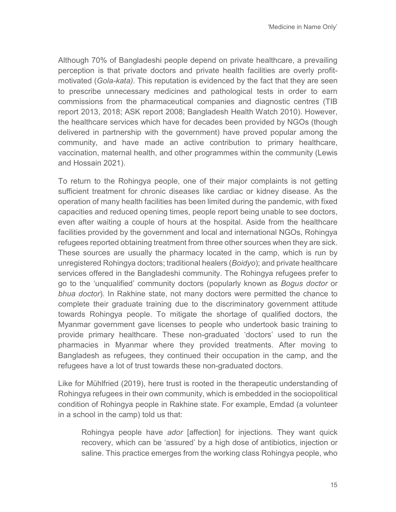Although 70% of Bangladeshi people depend on private healthcare, a prevailing perception is that private doctors and private health facilities are overly profitmotivated (*Gola-kata).* This reputation is evidenced by the fact that they are seen to prescribe unnecessary medicines and pathological tests in order to earn commissions from the pharmaceutical companies and diagnostic centres (TIB report 2013, 2018; ASK report 2008; Bangladesh Health Watch 2010). However, the healthcare services which have for decades been provided by NGOs (though delivered in partnership with the government) have proved popular among the community, and have made an active contribution to primary healthcare, vaccination, maternal health, and other programmes within the community (Lewis and Hossain 2021).

To return to the Rohingya people, one of their major complaints is not getting sufficient treatment for chronic diseases like cardiac or kidney disease. As the operation of many health facilities has been limited during the pandemic, with fixed capacities and reduced opening times, people report being unable to see doctors, even after waiting a couple of hours at the hospital. Aside from the healthcare facilities provided by the government and local and international NGOs, Rohingya refugees reported obtaining treatment from three other sources when they are sick. These sources are usually the pharmacy located in the camp, which is run by unregistered Rohingya doctors; traditional healers (*Boidyo*); and private healthcare services offered in the Bangladeshi community. The Rohingya refugees prefer to go to the 'unqualified' community doctors (popularly known as *Bogus doctor* or *bhua doctor*). In Rakhine state, not many doctors were permitted the chance to complete their graduate training due to the discriminatory government attitude towards Rohingya people. To mitigate the shortage of qualified doctors, the Myanmar government gave licenses to people who undertook basic training to provide primary healthcare. These non-graduated 'doctors' used to run the pharmacies in Myanmar where they provided treatments. After moving to Bangladesh as refugees, they continued their occupation in the camp, and the refugees have a lot of trust towards these non-graduated doctors.

Like for Mühlfried (2019), here trust is rooted in the therapeutic understanding of Rohingya refugees in their own community, which is embedded in the sociopolitical condition of Rohingya people in Rakhine state. For example, Emdad (a volunteer in a school in the camp) told us that:

Rohingya people have *ador* [affection] for injections. They want quick recovery, which can be 'assured' by a high dose of antibiotics, injection or saline. This practice emerges from the working class Rohingya people, who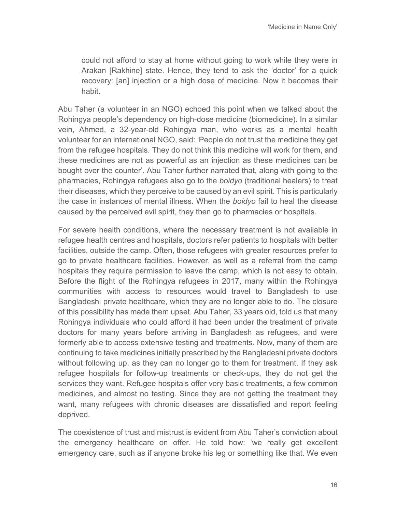could not afford to stay at home without going to work while they were in Arakan [Rakhine] state. Hence, they tend to ask the 'doctor' for a quick recovery: [an] injection or a high dose of medicine. Now it becomes their habit.

Abu Taher (a volunteer in an NGO) echoed this point when we talked about the Rohingya people's dependency on high-dose medicine (biomedicine). In a similar vein, Ahmed, a 32-year-old Rohingya man, who works as a mental health volunteer for an international NGO, said: 'People do not trust the medicine they get from the refugee hospitals. They do not think this medicine will work for them, and these medicines are not as powerful as an injection as these medicines can be bought over the counter'. Abu Taher further narrated that, along with going to the pharmacies, Rohingya refugees also go to the *boidyo* (traditional healers) to treat their diseases, which they perceive to be caused by an evil spirit. This is particularly the case in instances of mental illness. When the *boidyo* fail to heal the disease caused by the perceived evil spirit, they then go to pharmacies or hospitals.

For severe health conditions, where the necessary treatment is not available in refugee health centres and hospitals, doctors refer patients to hospitals with better facilities, outside the camp. Often, those refugees with greater resources prefer to go to private healthcare facilities. However, as well as a referral from the camp hospitals they require permission to leave the camp, which is not easy to obtain. Before the flight of the Rohingya refugees in 2017, many within the Rohingya communities with access to resources would travel to Bangladesh to use Bangladeshi private healthcare, which they are no longer able to do. The closure of this possibility has made them upset. Abu Taher, 33 years old, told us that many Rohingya individuals who could afford it had been under the treatment of private doctors for many years before arriving in Bangladesh as refugees, and were formerly able to access extensive testing and treatments. Now, many of them are continuing to take medicines initially prescribed by the Bangladeshi private doctors without following up, as they can no longer go to them for treatment. If they ask refugee hospitals for follow-up treatments or check-ups, they do not get the services they want. Refugee hospitals offer very basic treatments, a few common medicines, and almost no testing. Since they are not getting the treatment they want, many refugees with chronic diseases are dissatisfied and report feeling deprived.

The coexistence of trust and mistrust is evident from Abu Taher's conviction about the emergency healthcare on offer. He told how: 'we really get excellent emergency care, such as if anyone broke his leg or something like that. We even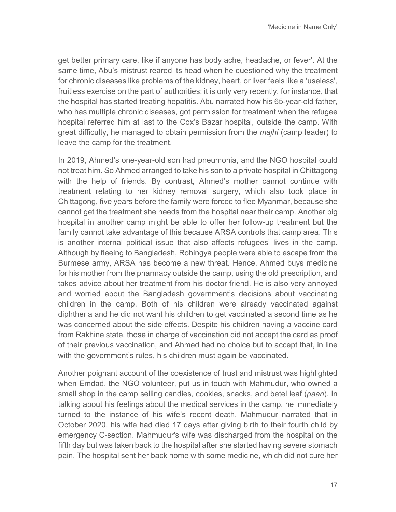get better primary care, like if anyone has body ache, headache, or fever'. At the same time, Abu's mistrust reared its head when he questioned why the treatment for chronic diseases like problems of the kidney, heart, or liver feels like a 'useless', fruitless exercise on the part of authorities; it is only very recently, for instance, that the hospital has started treating hepatitis. Abu narrated how his 65-year-old father, who has multiple chronic diseases, got permission for treatment when the refugee hospital referred him at last to the Cox's Bazar hospital, outside the camp. With great difficulty, he managed to obtain permission from the *majhi* (camp leader) to leave the camp for the treatment.

In 2019, Ahmed's one-year-old son had pneumonia, and the NGO hospital could not treat him. So Ahmed arranged to take his son to a private hospital in Chittagong with the help of friends. By contrast, Ahmed's mother cannot continue with treatment relating to her kidney removal surgery, which also took place in Chittagong, five years before the family were forced to flee Myanmar, because she cannot get the treatment she needs from the hospital near their camp. Another big hospital in another camp might be able to offer her follow-up treatment but the family cannot take advantage of this because ARSA controls that camp area. This is another internal political issue that also affects refugees' lives in the camp. Although by fleeing to Bangladesh, Rohingya people were able to escape from the Burmese army, ARSA has become a new threat. Hence, Ahmed buys medicine for his mother from the pharmacy outside the camp, using the old prescription, and takes advice about her treatment from his doctor friend. He is also very annoyed and worried about the Bangladesh government's decisions about vaccinating children in the camp. Both of his children were already vaccinated against diphtheria and he did not want his children to get vaccinated a second time as he was concerned about the side effects. Despite his children having a vaccine card from Rakhine state, those in charge of vaccination did not accept the card as proof of their previous vaccination, and Ahmed had no choice but to accept that, in line with the government's rules, his children must again be vaccinated.

Another poignant account of the coexistence of trust and mistrust was highlighted when Emdad, the NGO volunteer, put us in touch with Mahmudur, who owned a small shop in the camp selling candies, cookies, snacks, and betel leaf (*paan*). In talking about his feelings about the medical services in the camp, he immediately turned to the instance of his wife's recent death. Mahmudur narrated that in October 2020, his wife had died 17 days after giving birth to their fourth child by emergency C-section. Mahmudur's wife was discharged from the hospital on the fifth day but was taken back to the hospital after she started having severe stomach pain. The hospital sent her back home with some medicine, which did not cure her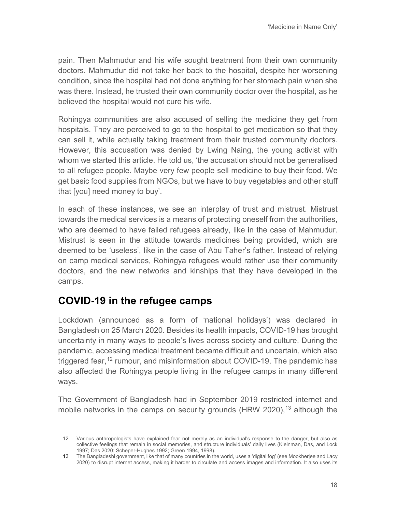pain. Then Mahmudur and his wife sought treatment from their own community doctors. Mahmudur did not take her back to the hospital, despite her worsening condition, since the hospital had not done anything for her stomach pain when she was there. Instead, he trusted their own community doctor over the hospital, as he believed the hospital would not cure his wife.

Rohingya communities are also accused of selling the medicine they get from hospitals. They are perceived to go to the hospital to get medication so that they can sell it, while actually taking treatment from their trusted community doctors. However, this accusation was denied by Lwing Naing, the young activist with whom we started this article. He told us, 'the accusation should not be generalised to all refugee people. Maybe very few people sell medicine to buy their food. We get basic food supplies from NGOs, but we have to buy vegetables and other stuff that [you] need money to buy'.

In each of these instances, we see an interplay of trust and mistrust. Mistrust towards the medical services is a means of protecting oneself from the authorities, who are deemed to have failed refugees already, like in the case of Mahmudur. Mistrust is seen in the attitude towards medicines being provided, which are deemed to be 'useless', like in the case of Abu Taher's father. Instead of relying on camp medical services, Rohingya refugees would rather use their community doctors, and the new networks and kinships that they have developed in the camps.

#### **COVID-19 in the refugee camps**

Lockdown (announced as a form of 'national holidays') was declared in Bangladesh on 25 March 2020. Besides its health impacts, COVID-19 has brought uncertainty in many ways to people's lives across society and culture. During the pandemic, accessing medical treatment became difficult and uncertain, which also triggered fear,<sup>[12](#page-17-0)</sup> rumour, and misinformation about COVID-19. The pandemic has also affected the Rohingya people living in the refugee camps in many different ways.

The Government of Bangladesh had in September 2019 restricted internet and mobile networks in the camps on security grounds (HRW 2020),<sup>[13](#page-17-1)</sup> although the

<span id="page-17-0"></span><sup>12</sup> Various anthropologists have explained fear not merely as an individual's response to the danger, but also as collective feelings that remain in social memories, and structure individuals' daily lives (Kleinman, Das, and Lock 1997; Das 2020; Scheper-Hughes 1992; Green 1994, 1998).

<span id="page-17-1"></span><sup>13</sup> The Bangladeshi government, like that of many countries in the world, uses a 'digital fog' (see Mookherjee and Lacy 2020) to disrupt internet access, making it harder to circulate and access images and information. It also uses its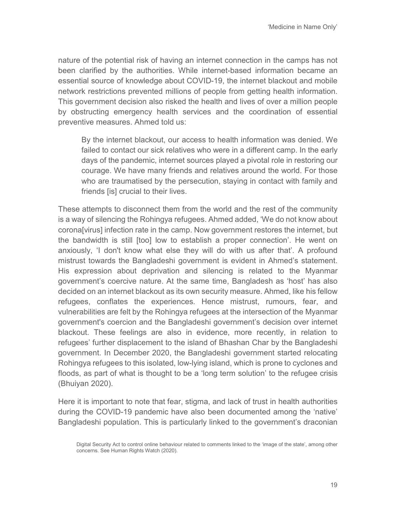nature of the potential risk of having an internet connection in the camps has not been clarified by the authorities. While internet-based information became an essential source of knowledge about COVID-19, the internet blackout and mobile network restrictions prevented millions of people from getting health information. This government decision also risked the health and lives of over a million people by obstructing emergency health services and the coordination of essential preventive measures. Ahmed told us:

By the internet blackout, our access to health information was denied. We failed to contact our sick relatives who were in a different camp. In the early days of the pandemic, internet sources played a pivotal role in restoring our courage. We have many friends and relatives around the world. For those who are traumatised by the persecution, staying in contact with family and friends [is] crucial to their lives.

These attempts to disconnect them from the world and the rest of the community is a way of silencing the Rohingya refugees. Ahmed added, 'We do not know about corona[virus] infection rate in the camp. Now government restores the internet, but the bandwidth is still [too] low to establish a proper connection'. He went on anxiously, 'I don't know what else they will do with us after that'. A profound mistrust towards the Bangladeshi government is evident in Ahmed's statement. His expression about deprivation and silencing is related to the Myanmar government's coercive nature. At the same time, Bangladesh as 'host' has also decided on an internet blackout as its own security measure. Ahmed, like his fellow refugees, conflates the experiences. Hence mistrust, rumours, fear, and vulnerabilities are felt by the Rohingya refugees at the intersection of the Myanmar government's coercion and the Bangladeshi government's decision over internet blackout. These feelings are also in evidence, more recently, in relation to refugees' further displacement to the island of Bhashan Char by the Bangladeshi government. In December 2020, the Bangladeshi government started relocating Rohingya refugees to this isolated, low-lying island, which is prone to cyclones and floods, as part of what is thought to be a 'long term solution' to the refugee crisis (Bhuiyan 2020).

Here it is important to note that fear, stigma, and lack of trust in health authorities during the COVID-19 pandemic have also been documented among the 'native' Bangladeshi population. This is particularly linked to the government's draconian

Digital Security Act to control online behaviour related to comments linked to the 'image of the state', among other concerns. See Human Rights Watch (2020).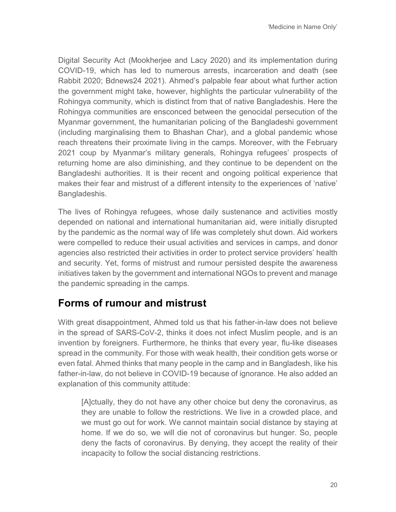Digital Security Act (Mookherjee and Lacy 2020) and its implementation during COVID-19, which has led to numerous arrests, incarceration and death (see Rabbit 2020; Bdnews24 2021). Ahmed's palpable fear about what further action the government might take, however, highlights the particular vulnerability of the Rohingya community, which is distinct from that of native Bangladeshis. Here the Rohingya communities are ensconced between the genocidal persecution of the Myanmar government, the humanitarian policing of the Bangladeshi government (including marginalising them to Bhashan Char), and a global pandemic whose reach threatens their proximate living in the camps. Moreover, with the February 2021 coup by Myanmar's military generals, Rohingya refugees' prospects of returning home are also diminishing, and they continue to be dependent on the Bangladeshi authorities. It is their recent and ongoing political experience that makes their fear and mistrust of a different intensity to the experiences of 'native' Bangladeshis.

The lives of Rohingya refugees, whose daily sustenance and activities mostly depended on national and international humanitarian aid, were initially disrupted by the pandemic as the normal way of life was completely shut down. Aid workers were compelled to reduce their usual activities and services in camps, and donor agencies also restricted their activities in order to protect service providers' health and security. Yet, forms of mistrust and rumour persisted despite the awareness initiatives taken by the government and international NGOs to prevent and manage the pandemic spreading in the camps.

#### **Forms of rumour and mistrust**

With great disappointment, Ahmed told us that his father-in-law does not believe in the spread of SARS-CoV-2, thinks it does not infect Muslim people, and is an invention by foreigners. Furthermore, he thinks that every year, flu-like diseases spread in the community. For those with weak health, their condition gets worse or even fatal. Ahmed thinks that many people in the camp and in Bangladesh, like his father-in-law, do not believe in COVID-19 because of ignorance. He also added an explanation of this community attitude:

[A]ctually, they do not have any other choice but deny the coronavirus, as they are unable to follow the restrictions. We live in a crowded place, and we must go out for work. We cannot maintain social distance by staying at home. If we do so, we will die not of coronavirus but hunger. So, people deny the facts of coronavirus. By denying, they accept the reality of their incapacity to follow the social distancing restrictions.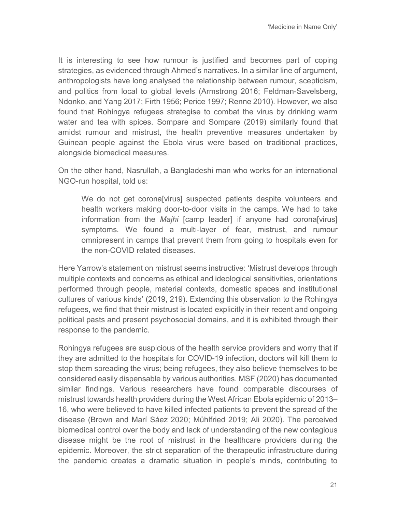It is interesting to see how rumour is justified and becomes part of coping strategies, as evidenced through Ahmed's narratives. In a similar line of argument, anthropologists have long analysed the relationship between rumour, scepticism, and politics from local to global levels (Armstrong 2016; Feldman-Savelsberg, Ndonko, and Yang 2017; Firth 1956; Perice 1997; Renne 2010). However, we also found that Rohingya refugees strategise to combat the virus by drinking warm water and tea with spices. Sompare and Sompare (2019) similarly found that amidst rumour and mistrust, the health preventive measures undertaken by Guinean people against the Ebola virus were based on traditional practices, alongside biomedical measures.

On the other hand, Nasrullah, a Bangladeshi man who works for an international NGO-run hospital, told us:

We do not get corona[virus] suspected patients despite volunteers and health workers making door-to-door visits in the camps. We had to take information from the *Majhi* [camp leader] if anyone had corona[virus] symptoms*.* We found a multi-layer of fear, mistrust, and rumour omnipresent in camps that prevent them from going to hospitals even for the non-COVID related diseases.

Here Yarrow's statement on mistrust seems instructive: 'Mistrust develops through multiple contexts and concerns as ethical and ideological sensitivities, orientations performed through people, material contexts, domestic spaces and institutional cultures of various kinds' (2019, 219). Extending this observation to the Rohingya refugees, we find that their mistrust is located explicitly in their recent and ongoing political pasts and present psychosocial domains, and it is exhibited through their response to the pandemic.

Rohingya refugees are suspicious of the health service providers and worry that if they are admitted to the hospitals for COVID-19 infection, doctors will kill them to stop them spreading the virus; being refugees, they also believe themselves to be considered easily dispensable by various authorities. MSF (2020) has documented similar findings. Various researchers have found comparable discourses of mistrust towards health providers during the West African Ebola epidemic of 2013– 16, who were believed to have killed infected patients to prevent the spread of the disease (Brown and Marí Sáez 2020; Mühlfried 2019; Ali 2020). The perceived biomedical control over the body and lack of understanding of the new contagious disease might be the root of mistrust in the healthcare providers during the epidemic. Moreover, the strict separation of the therapeutic infrastructure during the pandemic creates a dramatic situation in people's minds, contributing to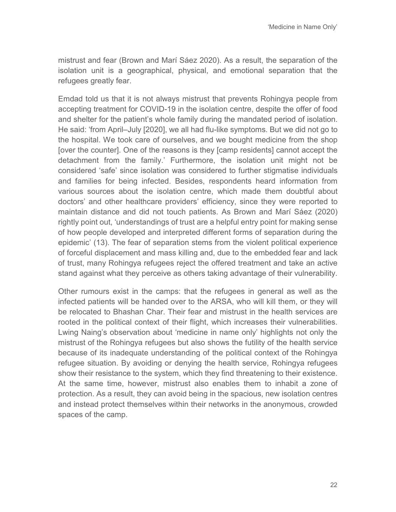mistrust and fear (Brown and Marí Sáez 2020). As a result, the separation of the isolation unit is a geographical, physical, and emotional separation that the refugees greatly fear.

Emdad told us that it is not always mistrust that prevents Rohingya people from accepting treatment for COVID-19 in the isolation centre, despite the offer of food and shelter for the patient's whole family during the mandated period of isolation. He said: 'from April–July [2020], we all had flu-like symptoms. But we did not go to the hospital. We took care of ourselves, and we bought medicine from the shop [over the counter]. One of the reasons is they [camp residents] cannot accept the detachment from the family.' Furthermore, the isolation unit might not be considered 'safe' since isolation was considered to further stigmatise individuals and families for being infected. Besides, respondents heard information from various sources about the isolation centre, which made them doubtful about doctors' and other healthcare providers' efficiency, since they were reported to maintain distance and did not touch patients. As Brown and Marí Sáez (2020) rightly point out, 'understandings of trust are a helpful entry point for making sense of how people developed and interpreted different forms of separation during the epidemic' (13). The fear of separation stems from the violent political experience of forceful displacement and mass killing and, due to the embedded fear and lack of trust, many Rohingya refugees reject the offered treatment and take an active stand against what they perceive as others taking advantage of their vulnerability.

Other rumours exist in the camps: that the refugees in general as well as the infected patients will be handed over to the ARSA, who will kill them, or they will be relocated to Bhashan Char. Their fear and mistrust in the health services are rooted in the political context of their flight, which increases their vulnerabilities. Lwing Naing's observation about 'medicine in name only' highlights not only the mistrust of the Rohingya refugees but also shows the futility of the health service because of its inadequate understanding of the political context of the Rohingya refugee situation. By avoiding or denying the health service, Rohingya refugees show their resistance to the system, which they find threatening to their existence. At the same time, however, mistrust also enables them to inhabit a zone of protection. As a result, they can avoid being in the spacious, new isolation centres and instead protect themselves within their networks in the anonymous, crowded spaces of the camp.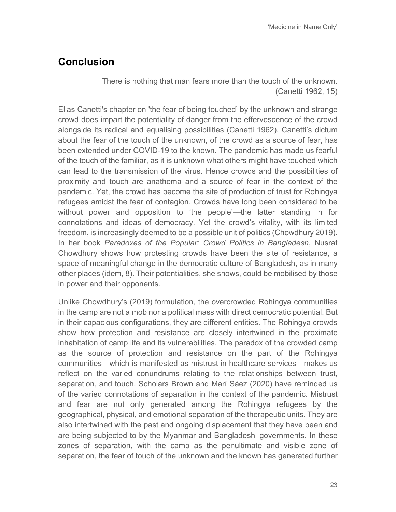## **Conclusion**

There is nothing that man fears more than the touch of the unknown. (Canetti 1962, 15)

Elias Canetti's chapter on 'the fear of being touched' by the unknown and strange crowd does impart the potentiality of danger from the effervescence of the crowd alongside its radical and equalising possibilities (Canetti 1962). Canetti's dictum about the fear of the touch of the unknown, of the crowd as a source of fear, has been extended under COVID-19 to the known. The pandemic has made us fearful of the touch of the familiar, as it is unknown what others might have touched which can lead to the transmission of the virus. Hence crowds and the possibilities of proximity and touch are anathema and a source of fear in the context of the pandemic. Yet, the crowd has become the site of production of trust for Rohingya refugees amidst the fear of contagion. Crowds have long been considered to be without power and opposition to 'the people'—the latter standing in for connotations and ideas of democracy. Yet the crowd's vitality, with its limited freedom, is increasingly deemed to be a possible unit of politics (Chowdhury 2019). In her book *Paradoxes of the Popular: Crowd Politics in Bangladesh*, Nusrat Chowdhury shows how protesting crowds have been the site of resistance, a space of meaningful change in the democratic culture of Bangladesh, as in many other places (idem, 8). Their potentialities, she shows, could be mobilised by those in power and their opponents.

Unlike Chowdhury's (2019) formulation, the overcrowded Rohingya communities in the camp are not a mob nor a political mass with direct democratic potential. But in their capacious configurations, they are different entities. The Rohingya crowds show how protection and resistance are closely intertwined in the proximate inhabitation of camp life and its vulnerabilities. The paradox of the crowded camp as the source of protection and resistance on the part of the Rohingya communities—which is manifested as mistrust in healthcare services—makes us reflect on the varied conundrums relating to the relationships between trust, separation, and touch. Scholars Brown and Marí Sáez (2020) have reminded us of the varied connotations of separation in the context of the pandemic. Mistrust and fear are not only generated among the Rohingya refugees by the geographical, physical, and emotional separation of the therapeutic units. They are also intertwined with the past and ongoing displacement that they have been and are being subjected to by the Myanmar and Bangladeshi governments. In these zones of separation, with the camp as the penultimate and visible zone of separation, the fear of touch of the unknown and the known has generated further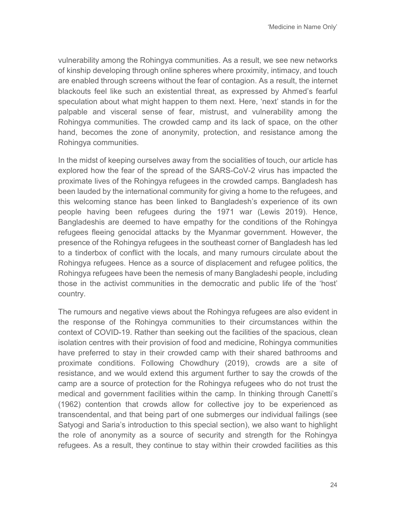vulnerability among the Rohingya communities. As a result, we see new networks of kinship developing through online spheres where proximity, intimacy, and touch are enabled through screens without the fear of contagion. As a result, the internet blackouts feel like such an existential threat, as expressed by Ahmed's fearful speculation about what might happen to them next. Here, 'next' stands in for the palpable and visceral sense of fear, mistrust, and vulnerability among the Rohingya communities. The crowded camp and its lack of space, on the other hand, becomes the zone of anonymity, protection, and resistance among the Rohingya communities.

In the midst of keeping ourselves away from the socialities of touch, our article has explored how the fear of the spread of the SARS-CoV-2 virus has impacted the proximate lives of the Rohingya refugees in the crowded camps. Bangladesh has been lauded by the international community for giving a home to the refugees, and this welcoming stance has been linked to Bangladesh's experience of its own people having been refugees during the 1971 war (Lewis 2019). Hence, Bangladeshis are deemed to have empathy for the conditions of the Rohingya refugees fleeing genocidal attacks by the Myanmar government. However, the presence of the Rohingya refugees in the southeast corner of Bangladesh has led to a tinderbox of conflict with the locals, and many rumours circulate about the Rohingya refugees. Hence as a source of displacement and refugee politics, the Rohingya refugees have been the nemesis of many Bangladeshi people, including those in the activist communities in the democratic and public life of the 'host' country.

The rumours and negative views about the Rohingya refugees are also evident in the response of the Rohingya communities to their circumstances within the context of COVID-19. Rather than seeking out the facilities of the spacious, clean isolation centres with their provision of food and medicine, Rohingya communities have preferred to stay in their crowded camp with their shared bathrooms and proximate conditions. Following Chowdhury (2019), crowds are a site of resistance, and we would extend this argument further to say the crowds of the camp are a source of protection for the Rohingya refugees who do not trust the medical and government facilities within the camp. In thinking through Canetti's (1962) contention that crowds allow for collective joy to be experienced as transcendental, and that being part of one submerges our individual failings (see Satyogi and Saria's introduction to this special section), we also want to highlight the role of anonymity as a source of security and strength for the Rohingya refugees. As a result, they continue to stay within their crowded facilities as this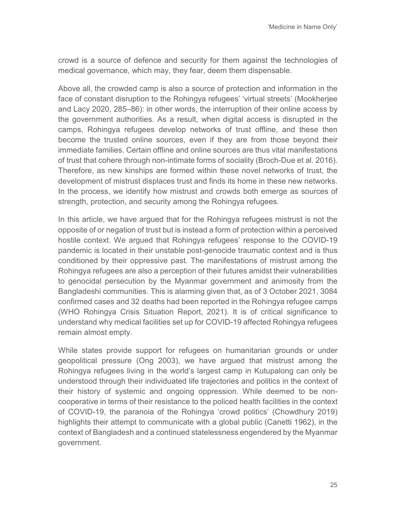crowd is a source of defence and security for them against the technologies of medical governance, which may, they fear, deem them dispensable.

Above all, the crowded camp is also a source of protection and information in the face of constant disruption to the Rohingya refugees' 'virtual streets' (Mookherjee and Lacy 2020, 285–86): in other words, the interruption of their online access by the government authorities. As a result, when digital access is disrupted in the camps, Rohingya refugees develop networks of trust offline, and these then become the trusted online sources, even if they are from those beyond their immediate families. Certain offline and online sources are thus vital manifestations of trust that cohere through non-intimate forms of sociality (Broch-Due et al. 2016). Therefore, as new kinships are formed within these novel networks of trust, the development of mistrust displaces trust and finds its home in these new networks. In the process, we identify how mistrust and crowds both emerge as sources of strength, protection, and security among the Rohingya refugees.

In this article, we have argued that for the Rohingya refugees mistrust is not the opposite of or negation of trust but is instead a form of protection within a perceived hostile context. We argued that Rohingya refugees' response to the COVID-19 pandemic is located in their unstable post-genocide traumatic context and is thus conditioned by their oppressive past. The manifestations of mistrust among the Rohingya refugees are also a perception of their futures amidst their vulnerabilities to genocidal persecution by the Myanmar government and animosity from the Bangladeshi communities. This is alarming given that, as of 3 October 2021, 3084 confirmed cases and 32 deaths had been reported in the Rohingya refugee camps (WHO Rohingya Crisis Situation Report, 2021). It is of critical significance to understand why medical facilities set up for COVID-19 affected Rohingya refugees remain almost empty.

While states provide support for refugees on humanitarian grounds or under geopolitical pressure (Ong 2003), we have argued that mistrust among the Rohingya refugees living in the world's largest camp in Kutupalong can only be understood through their individuated life trajectories and politics in the context of their history of systemic and ongoing oppression. While deemed to be noncooperative in terms of their resistance to the policed health facilities in the context of COVID-19, the paranoia of the Rohingya 'crowd politics' (Chowdhury 2019) highlights their attempt to communicate with a global public (Canetti 1962), in the context of Bangladesh and a continued statelessness engendered by the Myanmar government.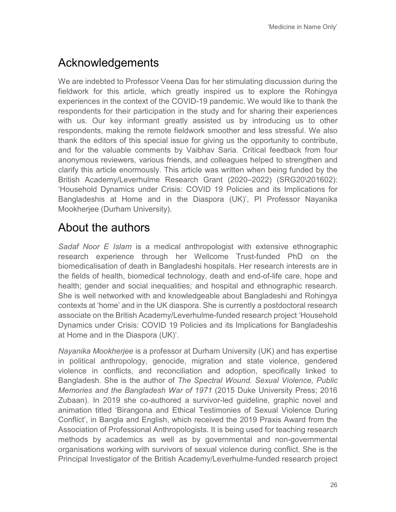# Acknowledgements

We are indebted to Professor Veena Das for her stimulating discussion during the fieldwork for this article, which greatly inspired us to explore the Rohingya experiences in the context of the COVID-19 pandemic. We would like to thank the respondents for their participation in the study and for sharing their experiences with us. Our key informant greatly assisted us by introducing us to other respondents, making the remote fieldwork smoother and less stressful. We also thank the editors of this special issue for giving us the opportunity to contribute, and for the valuable comments by Vaibhav Saria. Critical feedback from four anonymous reviewers, various friends, and colleagues helped to strengthen and clarify this article enormously. This article was written when being funded by the British Academy/Leverhulme Research Grant (2020–2022) (SRG20\201602): 'Household Dynamics under Crisis: COVID 19 Policies and its Implications for Bangladeshis at Home and in the Diaspora (UK)', PI Professor Nayanika Mookherjee (Durham University).

# About the authors

*Sadaf Noor E Islam* is a medical anthropologist with extensive ethnographic research experience through her Wellcome Trust-funded PhD on the biomedicalisation of death in Bangladeshi hospitals. Her research interests are in the fields of health, biomedical technology, death and end-of-life care, hope and health; gender and social inequalities; and hospital and ethnographic research. She is well networked with and knowledgeable about Bangladeshi and Rohingya contexts at 'home' and in the UK diaspora. She is currently a postdoctoral research associate on the British Academy/Leverhulme-funded research project 'Household Dynamics under Crisis: COVID 19 Policies and its Implications for Bangladeshis at Home and in the Diaspora (UK)'.

*Nayanika Mookherjee* is a professor at Durham University (UK) and has expertise in political anthropology, genocide, migration and state violence, gendered violence in conflicts, and reconciliation and adoption, specifically linked to Bangladesh. She is the author of *The Spectral Wound. Sexual Violence, Public Memories and the Bangladesh War of 1971* (2015 Duke University Press; 2016 Zubaan). In 2019 she co-authored a survivor-led guideline, graphic novel and animation titled 'Birangona and Ethical Testimonies of Sexual Violence During Conflict', in Bangla and English, which received the 2019 Praxis Award from the Association of Professional Anthropologists. It is being used for teaching research methods by academics as well as by governmental and non-governmental organisations working with survivors of sexual violence during conflict. She is the Principal Investigator of the British Academy/Leverhulme-funded research project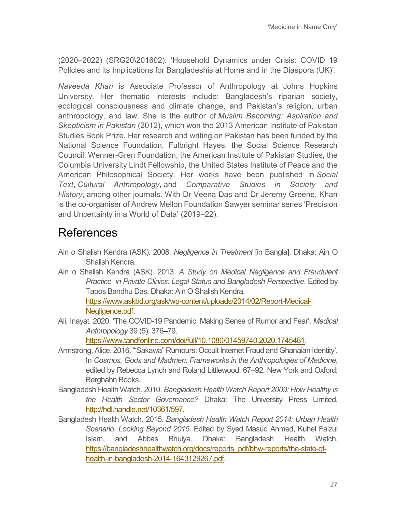(2020–2022) (SRG20\201602): 'Household Dynamics under Crisis: COVID 19 Policies and its Implications for Bangladeshis at Home and in the Diaspora (UK)'.

*Naveeda Khan* is Associate Professor of Anthropology at Johns Hopkins University. Her thematic interests include: Bangladesh's riparian society, ecological consciousness and climate change, and Pakistan's religion, urban anthropology, and law. She is the author of *[Muslim Becoming: Aspiration and](https://www.dukeupress.edu/muslim-becoming)  [Skepticism in Pakistan](https://www.dukeupress.edu/muslim-becoming)* (2012), which won the 2013 American Institute of Pakistan Studies Book Prize. Her research and writing on Pakistan has been funded by the National Science Foundation, Fulbright Hayes, the Social Science Research Council, Wenner-Gren Foundation, the American Institute of Pakistan Studies, the Columbia University Lindt Fellowship, the United States Institute of Peace and the American Philosophical Society. Her works have been published in *Social Text*, *Cultural Anthropology*, and *Comparative Studies in Society and History*, among other journals. With Dr Veena Das and Dr Jeremy Greene, Khan is the co-organiser of Andrew Mellon Foundation Sawyer seminar series 'Precision and Uncertainty in a World of Data' (2019–22).

# References

- Ain o Shalish Kendra (ASK). 2008. *Negligence in Treatment* [in Bangla]. Dhaka: Ain O Shalish Kendra.
- Ain o Shalish Kendra (ASK). 2013. *A Study on Medical Negligence and Fraudulent Practice in Private Clinics: Legal Status and Bangladesh Perspective*. Edited by Tapos Bandhu Das. Dhaka: Ain O Shalish Kendra. [https://www.askbd.org/ask/wp-content/uploads/2014/02/Report-Medical-](https://www.askbd.org/ask/wp-content/uploads/2014/02/Report-Medical-Negligence.pdf)[Negligence.pdf.](https://www.askbd.org/ask/wp-content/uploads/2014/02/Report-Medical-Negligence.pdf)
- Ali, Inayat. 2020. 'The COVID-19 Pandemic: Making Sense of Rumor and Fear'. *Medical Anthropology* 39 (5): 376–79.

[https://www.tandfonline.com/doi/full/10.1080/01459740.2020.1745481.](https://www.tandfonline.com/doi/full/10.1080/01459740.2020.1745481)

- Armstrong, Alice. 2016. '"Sakawa" Rumours: Occult Internet Fraud and Ghanaian Identity'. In *Cosmos, Gods and Madmen: Frameworks in the Anthropologies of Medicine*, edited by Rebecca Lynch and Roland Littlewood, 67–92. New York and Oxford: Berghahn Books.
- Bangladesh Health Watch. 2010. *Bangladesh Health Watch Report 2009: How Healthy is the Health Sector Governance?* Dhaka: The University Press Limited. [http://hdl.handle.net/10361/597.](http://hdl.handle.net/10361/597)
- Bangladesh Health Watch. 2015. *Bangladesh Health Watch Report 2014: Urban Health Scenario. Looking Beyond 2015*. Edited by Syed Masud Ahmed, Kuhel Faizul Islam, and Abbas Bhuiya. Dhaka: Bangladesh Health Watch. [https://bangladeshhealthwatch.org/docs/reports\\_pdf/bhw-reports/the-state-of](https://bangladeshhealthwatch.org/docs/reports_pdf/bhw-reports/the-state-of-health-in-bangladesh-2014-1643129267.pdf)[health-in-bangladesh-2014-1643129267.pdf.](https://bangladeshhealthwatch.org/docs/reports_pdf/bhw-reports/the-state-of-health-in-bangladesh-2014-1643129267.pdf)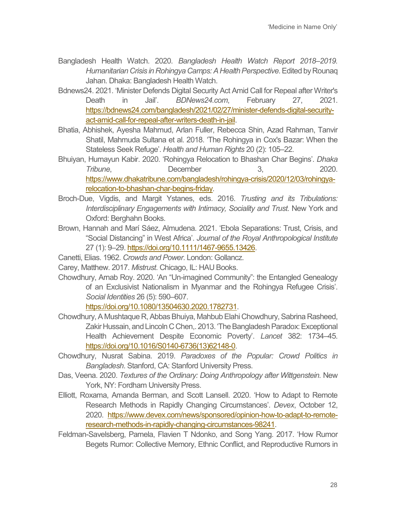- Bangladesh Health Watch. 2020. *Bangladesh Health Watch Report 2018–2019. Humanitarian Crisis in Rohingya Camps: A Health Perspective*. Edited by Rounaq Jahan. Dhaka: Bangladesh Health Watch.
- Bdnews24. 2021. 'Minister Defends Digital Security Act Amid Call for Repeal after Writer's Death in Jail'. *BDNews24.com*, February 27, 2021. [https://bdnews24.com/bangladesh/2021/02/27/minister-defends-digital-security](https://bdnews24.com/bangladesh/2021/02/27/minister-defends-digital-security-act-amid-call-for-repeal-after-writers-death-in-jail)[act-amid-call-for-repeal-after-writers-death-in-jail.](https://bdnews24.com/bangladesh/2021/02/27/minister-defends-digital-security-act-amid-call-for-repeal-after-writers-death-in-jail)
- Bhatia, Abhishek, Ayesha Mahmud, Arlan Fuller, Rebecca Shin, Azad Rahman, Tanvir Shatil, Mahmuda Sultana et al. 2018. 'The Rohingya in Cox's Bazar: When the Stateless Seek Refuge'. *Health and Human Rights* 20 (2): 105–22.
- Bhuiyan, Humayun Kabir. 2020. 'Rohingya Relocation to Bhashan Char Begins'. *Dhaka Tribune*, December 3, 2020. [https://www.dhakatribune.com/bangladesh/rohingya-crisis/2020/12/03/rohingya](https://www.dhakatribune.com/bangladesh/rohingya-crisis/2020/12/03/rohingya-relocation-to-bhashan-char-begins-friday)[relocation-to-bhashan-char-begins-friday.](https://www.dhakatribune.com/bangladesh/rohingya-crisis/2020/12/03/rohingya-relocation-to-bhashan-char-begins-friday)
- Broch-Due, Vigdis, and Margit Ystanes, eds. 2016. *Trusting and its Tribulations: Interdisciplinary Engagements with Intimacy, Sociality and Trust*. New York and Oxford: Berghahn Books.
- Brown, Hannah and Marí Sáez, Almudena. 2021. 'Ebola Separations: Trust, Crisis, and "Social Distancing" in West Africa'. *Journal of the Royal Anthropological Institute*  27 (1): 9–29. [https://doi.org/10.1111/1467-9655.13426.](https://doi.org/10.1111/1467-9655.13426)
- Canetti, Elias. 1962. *Crowds and Power*. London: Gollancz.
- Carey, Matthew. 2017. *Mistrust*. Chicago, IL: HAU Books.
- Chowdhury, Arnab Roy. 2020. 'An "Un-imagined Community": the Entangled Genealogy of an Exclusivist Nationalism in Myanmar and the Rohingya Refugee Crisis'. *Social Identities* 26 (5): 590–607.

[https://doi.org/10.1080/13504630.2020.1782731.](https://doi.org/10.1080/13504630.2020.1782731)

- Chowdhury, A Mushtaque R, Abbas Bhuiya, Mahbub Elahi Chowdhury, Sabrina Rasheed, Zakir Hussain, and Lincoln C Chen,. 2013. 'The Bangladesh Paradox: Exceptional Health Achievement Despite Economic Poverty'. *Lancet* 382: 1734–45. [https://doi.org/10.1016/S0140-6736\(13\)62148-0.](https://doi.org/10.1016/S0140-6736(13)62148-0)
- Chowdhury, Nusrat Sabina. 2019. *Paradoxes of the Popular: Crowd Politics in Bangladesh*. Stanford, CA: Stanford University Press.
- Das, Veena. 2020. *Textures of the Ordinary: Doing Anthropology after Wittgenstein.* New York, NY: Fordham University Press.
- Elliott, Roxama, Amanda Berman, and Scott Lansell. 2020. 'How to Adapt to Remote Research Methods in Rapidly Changing Circumstances'. *Devex*, October 12, 2020. [https://www.devex.com/news/sponsored/opinion-how-to-adapt-to-remote](https://www.devex.com/news/sponsored/opinion-how-to-adapt-to-remote-research-methods-in-rapidly-changing-circumstances-98241)[research-methods-in-rapidly-changing-circumstances-98241.](https://www.devex.com/news/sponsored/opinion-how-to-adapt-to-remote-research-methods-in-rapidly-changing-circumstances-98241)
- Feldman-Savelsberg, Pamela, Flavien T Ndonko, and Song Yang. 2017. 'How Rumor Begets Rumor: Collective Memory, Ethnic Conflict, and Reproductive Rumors in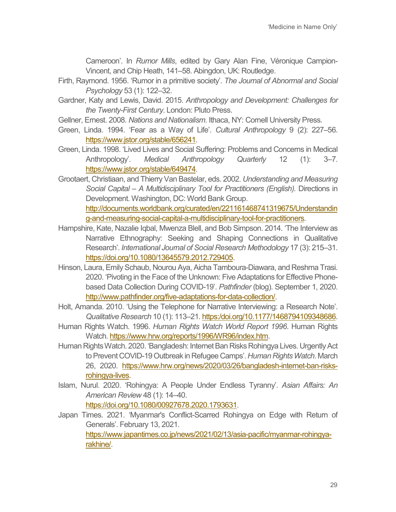Cameroon'. In *Rumor Mills*, edited by Gary Alan Fine, Véronique Campion-Vincent, and Chip Heath, 141–58. Abingdon, UK: Routledge.

- Firth, Raymond. 1956. 'Rumor in a primitive society'. *The Journal of Abnormal and Social Psychology* 53 (1): 122–32.
- Gardner, Katy and Lewis, David. 2015. *Anthropology and Development: Challenges for the Twenty-First Century*. London: Pluto Press.
- Gellner, Ernest. 2008. *Nations and Nationalism*. Ithaca, NY: Cornell University Press.
- Green, Linda. 1994. 'Fear as a Way of Life'. *Cultural Anthropology* 9 (2): 227–56. [https://www.jstor.org/stable/656241.](https://www.jstor.org/stable/656241)
- Green, Linda. 1998. 'Lived Lives and Social Suffering: Problems and Concerns in Medical Anthropology'. *Medical Anthropology Quarterly* 12 (1): 3–7. [https://www.jstor.org/stable/649474.](https://www.jstor.org/stable/649474)
- Grootaert, Christiaan, and Thierry Van Bastelar, eds. 2002. *Understanding and Measuring Social Capital – A Multidisciplinary Tool for Practitioners (English).* Directions in Development. Washington, DC: World Bank Group. [http://documents.worldbank.org/curated/en/221161468741319675/Understandin](http://documents.worldbank.org/curated/en/221161468741319675/Understanding-and-measuring-social-capital-a-multidisciplinary-tool-for-practitioners)

[g-and-measuring-social-capital-a-multidisciplinary-tool-for-practitioners.](http://documents.worldbank.org/curated/en/221161468741319675/Understanding-and-measuring-social-capital-a-multidisciplinary-tool-for-practitioners)

- Hampshire, Kate, Nazalie Iqbal, Mwenza Blell, and Bob Simpson. 2014. 'The Interview as Narrative Ethnography: Seeking and Shaping Connections in Qualitative Research'. *International Journal of Social Research Methodology* 17 (3): 215–31. [https://doi.org/10.1080/13645579.2012.729405.](https://doi.org/10.1080/13645579.2012.729405)
- Hinson, Laura, Emily Schaub, Nourou Aya, Aicha Tamboura-Diawara, and Reshma Trasi. 2020. 'Pivoting in the Face of the Unknown: Five Adaptations for Effective Phonebased Data Collection During COVID-19'. *Pathfinder* (blog). September 1, 2020. [http://www.pathfinder.org/five-adaptations-for-data-collection/.](http://www.pathfinder.org/five-adaptations-for-data-collection/)
- Holt, Amanda. 2010. 'Using the Telephone for Narrative Interviewing: a Research Note'. *Qualitative Research* 10 (1): 113–21[. https:/doi.org/10.1177/1468794109348686.](https://doi.org/10.1177/1468794109348686)
- Human Rights Watch. 1996. *Human Rights Watch World Report 1996*. Human Rights Watch[. https://www.hrw.org/reports/1996/WR96/index.htm.](https://www.hrw.org/reports/1996/WR96/index.htm)
- Human Rights Watch. 2020. 'Bangladesh: Internet Ban Risks Rohingya Lives. Urgently Act to Prevent COVID-19 Outbreak in Refugee Camps'. *Human Rights Watch*. March 26, 2020. [https://www.hrw.org/news/2020/03/26/bangladesh-internet-ban-risks](https://www.hrw.org/news/2020/03/26/bangladesh-internet-ban-risks-rohingya-lives)[rohingya-lives.](https://www.hrw.org/news/2020/03/26/bangladesh-internet-ban-risks-rohingya-lives)
- Islam, Nurul. 2020. 'Rohingya: A People Under Endless Tyranny'. *Asian Affairs: An American Review* 48 (1): 14–40. [https://doi.org/10.1080/00927678.2020.1793631.](https://doi.org/10.1080/00927678.2020.1793631)
- Japan Times. 2021. 'Myanmar's Conflict-Scarred Rohingya on Edge with Return of Generals'. February 13, 2021. [https://www.japantimes.co.jp/news/2021/02/13/asia-pacific/myanmar-rohingya](https://www.japantimes.co.jp/news/2021/02/13/asia-pacific/myanmar-rohingya-rakhine/)[rakhine/.](https://www.japantimes.co.jp/news/2021/02/13/asia-pacific/myanmar-rohingya-rakhine/)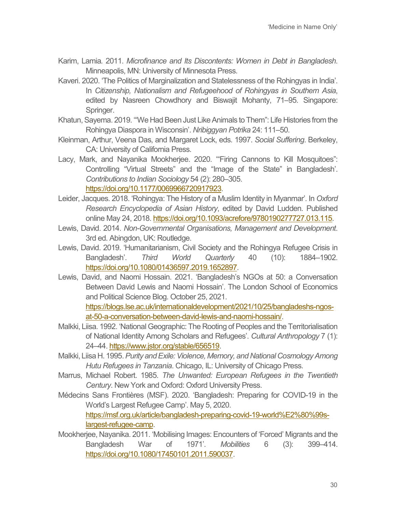- Karim, Lamia*.* 2011. *Microfinance and Its Discontents: Women in Debt in Bangladesh*. Minneapolis, MN: University of Minnesota Press.
- Kaveri. 2020. 'The Politics of Marginalization and Statelessness of the Rohingyas in India'. In *Citizenship, Nationalism and Refugeehood of Rohingyas in Southern Asia*, edited by Nasreen Chowdhory and Biswajit Mohanty, 71–95. Singapore: Springer.
- Khatun, Sayema. 2019. '"We Had Been Just Like Animals to Them": Life Histories from the Rohingya Diaspora in Wisconsin'. *Nribiggyan Potrika* 24: 111–50.
- Kleinman, Arthur, Veena Das, and Margaret Lock, eds. 1997. *Social Suffering*. Berkeley, CA: University of California Press.
- Lacy, Mark, and Nayanika Mookherjee. 2020. '"Firing Cannons to Kill Mosquitoes": Controlling "Virtual Streets" and the "Image of the State" in Bangladesh'. *Contributions to Indian Sociology* 54 (2): 280–305. [https://doi.org/10.1177/0069966720917923.](https://doi.org/10.1177/0069966720917923)
- Leider, Jacques. 2018. 'Rohingya: The History of a Muslim Identity in Myanmar'. In *Oxford Research Encyclopedia of Asian History*, edited by David Ludden. Published online May 24, 2018. [https://doi.org/10.1093/acrefore/9780190277727.013.115.](https://doi.org/10.1093/acrefore/9780190277727.013.115)
- Lewis, David. 2014. *Non-Governmental Organisations, Management and Development*. 3rd ed. Abingdon, UK: Routledge.
- Lewis, David. 2019. 'Humanitarianism, Civil Society and the Rohingya Refugee Crisis in Bangladesh'. *Third World Quarterly* 40 (10): 1884–1902. [https://doi.org/10.1080/01436597.2019.1652897.](https://doi.org/10.1080/01436597.2019.1652897)
- Lewis, David, and Naomi Hossain. 2021. 'Bangladesh's NGOs at 50: a Conversation Between David Lewis and Naomi Hossain'. The London School of Economics and Political Science Blog. October 25, 2021. [https://blogs.lse.ac.uk/internationaldevelopment/2021/10/25/bangladeshs-ngos](https://blogs.lse.ac.uk/internationaldevelopment/2021/10/25/bangladeshs-ngos-at-50-a-conversation-between-david-lewis-and-naomi-hossain/)[at-50-a-conversation-between-david-lewis-and-naomi-hossain/.](https://blogs.lse.ac.uk/internationaldevelopment/2021/10/25/bangladeshs-ngos-at-50-a-conversation-between-david-lewis-and-naomi-hossain/)
- Malkki, Liisa. 1992. 'National Geographic: The Rooting of Peoples and the Territorialisation of National Identity Among Scholars and Refugees'. *Cultural Anthropology* 7 (1): 24–44. [https://www.jstor.org/stable/656519.](https://www.jstor.org/stable/656519)
- Malkki, Liisa H. 1995. *Purity and Exile: Violence, Memory, and National Cosmology Among Hutu Refugees in Tanzania*. Chicago, IL: University of Chicago Press.
- Marrus, Michael Robert. 1985. *The Unwanted: European Refugees in the Twentieth Century*. New York and Oxford: Oxford University Press.
- Médecins Sans Frontières (MSF). 2020. 'Bangladesh: Preparing for COVID-19 in the World's Largest Refugee Camp'. May 5, 2020. [https://msf.org.uk/article/bangladesh-preparing-covid-19-world%E2%80%99s](https://msf.org.uk/article/bangladesh-preparing-covid-19-world%E2%80%99s-largest-refugee-camp)[largest-refugee-camp.](https://msf.org.uk/article/bangladesh-preparing-covid-19-world%E2%80%99s-largest-refugee-camp)
- Mookherjee, Nayanika. 2011. 'Mobilising Images: Encounters of 'Forced' Migrants and the Bangladesh War of 1971'. *Mobilities* 6 (3): 399–414. [https://doi.org/10.1080/17450101.2011.590037.](https://doi.org/10.1080/17450101.2011.590037)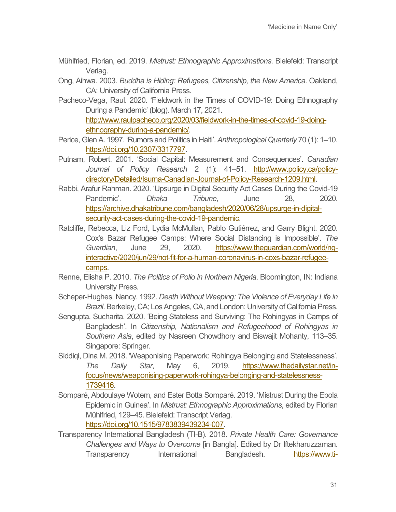- Mühlfried, Florian, ed. 2019. *Mistrust: Ethnographic Approximations*. Bielefeld: Transcript Verlag.
- Ong, Aihwa. 2003. *Buddha is Hiding: Refugees, Citizenship, the New America*. Oakland, CA: University of California Press.
- Pacheco-Vega, Raul. 2020. 'Fieldwork in the Times of COVID-19: Doing Ethnography During a Pandemic' (blog). March 17, 2021. [http://www.raulpacheco.org/2020/03/fieldwork-in-the-times-of-covid-19-doing](http://www.raulpacheco.org/2020/03/fieldwork-in-the-times-of-covid-19-doing-ethnography-during-a-pandemic/)[ethnography-during-a-pandemic/.](http://www.raulpacheco.org/2020/03/fieldwork-in-the-times-of-covid-19-doing-ethnography-during-a-pandemic/)
- Perice, Glen A. 1997. 'Rumors and Politics in Haiti'. *Anthropological Quarterly* 70 (1): 1–10. [https://doi.org/10.2307/3317797.](https://doi.org/10.2307/3317797)
- Putnam, Robert. 2001. 'Social Capital: Measurement and Consequences'. *Canadian Journal of Policy Research* 2 (1): 41–51. [http://www.policy.ca/policy](http://www.policy.ca/policy-directory/Detailed/Isuma-Canadian-Journal-of-Policy-Research-1209.html)[directory/Detailed/Isuma-Canadian-Journal-of-Policy-Research-1209.html.](http://www.policy.ca/policy-directory/Detailed/Isuma-Canadian-Journal-of-Policy-Research-1209.html)
- Rabbi, Arafur Rahman. 2020. 'Upsurge in Digital Security Act Cases During the Covid-19 Pandemic'. *Dhaka Tribune*, June 28, 2020. [https://archive.dhakatribune.com/bangladesh/2020/06/28/upsurge-in-digital](https://archive.dhakatribune.com/bangladesh/2020/06/28/upsurge-in-digital-security-act-cases-during-the-covid-19-pandemic)[security-act-cases-during-the-covid-19-pandemic.](https://archive.dhakatribune.com/bangladesh/2020/06/28/upsurge-in-digital-security-act-cases-during-the-covid-19-pandemic)
- Ratcliffe, Rebecca, Liz Ford, Lydia McMullan, Pablo Gutiérrez, and Garry Blight. 2020. Cox's Bazar Refugee Camps: Where Social Distancing is Impossible'. *The Guardian*, June 29, 2020. [https://www.theguardian.com/world/ng](https://www.theguardian.com/world/ng-interactive/2020/jun/29/not-fit-for-a-human-coronavirus-in-coxs-bazar-refugee-camps)[interactive/2020/jun/29/not-fit-for-a-human-coronavirus-in-coxs-bazar-refugee](https://www.theguardian.com/world/ng-interactive/2020/jun/29/not-fit-for-a-human-coronavirus-in-coxs-bazar-refugee-camps)[camps.](https://www.theguardian.com/world/ng-interactive/2020/jun/29/not-fit-for-a-human-coronavirus-in-coxs-bazar-refugee-camps)
- Renne, Elisha P. 2010. *The Politics of Polio in Northern Nigeria*. Bloomington, IN: Indiana University Press.
- Scheper-Hughes, Nancy. 1992. *Death Without Weeping: The Violence of Everyday Life in Brazil*. Berkeley, CA; Los Angeles, CA, and London: University of California Press.
- Sengupta, Sucharita. 2020. 'Being Stateless and Surviving: The Rohingyas in Camps of Bangladesh'. In *Citizenship, Nationalism and Refugeehood of Rohingyas in Southern Asia*, edited by Nasreen Chowdhory and Biswajit Mohanty, 113–35. Singapore: Springer.
- Siddiqi, Dina M. 2018. 'Weaponising Paperwork: Rohingya Belonging and Statelessness'. *The Daily Star*, May 6, 2019. [https://www.thedailystar.net/in](https://www.thedailystar.net/in-focus/news/weaponising-paperwork-rohingya-belonging-and-statelessness-1739416)[focus/news/weaponising-paperwork-rohingya-belonging-and-statelessness-](https://www.thedailystar.net/in-focus/news/weaponising-paperwork-rohingya-belonging-and-statelessness-1739416)[1739416.](https://www.thedailystar.net/in-focus/news/weaponising-paperwork-rohingya-belonging-and-statelessness-1739416)
- Somparé, Abdoulaye Wotem, and Ester Botta Somparé. 2019. 'Mistrust During the Ebola Epidemic in Guinea'. In *Mistrust: Ethnographic Approximations*, edited by Florian Mühlfried, 129–45. Bielefeld: Transcript Verlag. [https://doi.org/10.1515/9783839439234-007.](https://doi.org/10.1515/9783839439234-007)
- Transparency International Bangladesh (TI-B). 2018. *Private Health Care: Governance Challenges and Ways to Overcome* [in Bangla]. Edited by Dr Iftekharuzzaman. Transparency International Bangladesh. [https://www.ti-](https://www.ti-bangladesh.org/beta3/images/2018/report/private_health/Ex_Sum_English_Private_Health.pdf)